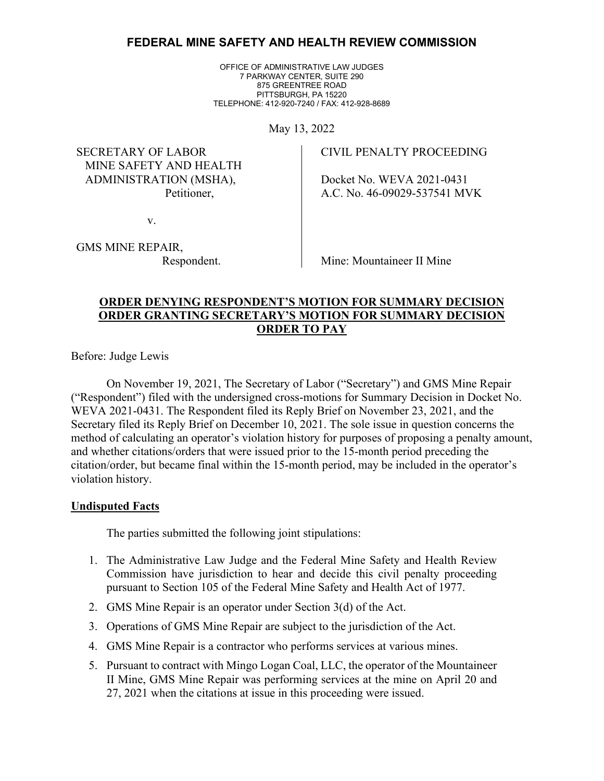# **FEDERAL MINE SAFETY AND HEALTH REVIEW COMMISSION**

OFFICE OF ADMINISTRATIVE LAW JUDGES 7 PARKWAY CENTER, SUITE 290 875 GREENTREE ROAD PITTSBURGH, PA 15220 TELEPHONE: 412-920-7240 / FAX: 412-928-8689

May 13, 2022

SECRETARY OF LABOR MINE SAFETY AND HEALTH ADMINISTRATION (MSHA), Petitioner,

CIVIL PENALTY PROCEEDING

Docket No. WEVA 2021-0431 A.C. No. 46-09029-537541 MVK

v.

GMS MINE REPAIR, Respondent.

Mine: Mountaineer II Mine

## **ORDER DENYING RESPONDENT'S MOTION FOR SUMMARY DECISION ORDER GRANTING SECRETARY'S MOTION FOR SUMMARY DECISION ORDER TO PAY**

Before: Judge Lewis

On November 19, 2021, The Secretary of Labor ("Secretary") and GMS Mine Repair ("Respondent") filed with the undersigned cross-motions for Summary Decision in Docket No. WEVA 2021-0431. The Respondent filed its Reply Brief on November 23, 2021, and the Secretary filed its Reply Brief on December 10, 2021. The sole issue in question concerns the method of calculating an operator's violation history for purposes of proposing a penalty amount, and whether citations/orders that were issued prior to the 15-month period preceding the citation/order, but became final within the 15-month period, may be included in the operator's violation history.

## **Undisputed Facts**

The parties submitted the following joint stipulations:

- 1. The Administrative Law Judge and the Federal Mine Safety and Health Review Commission have jurisdiction to hear and decide this civil penalty proceeding pursuant to Section 105 of the Federal Mine Safety and Health Act of 1977.
- 2. GMS Mine Repair is an operator under Section 3(d) of the Act.
- 3. Operations of GMS Mine Repair are subject to the jurisdiction of the Act.
- 4. GMS Mine Repair is a contractor who performs services at various mines.
- 5. Pursuant to contract with Mingo Logan Coal, LLC, the operator of the Mountaineer II Mine, GMS Mine Repair was performing services at the mine on April 20 and 27, 2021 when the citations at issue in this proceeding were issued.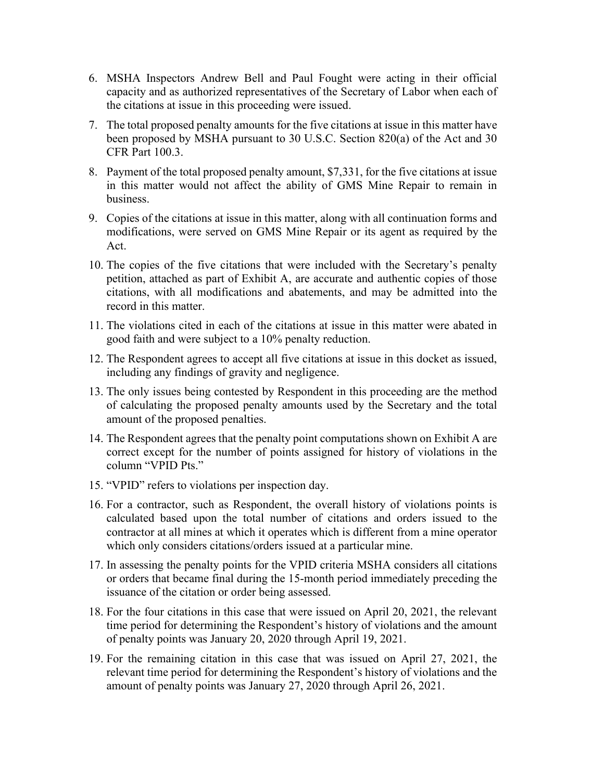- 6. MSHA Inspectors Andrew Bell and Paul Fought were acting in their official capacity and as authorized representatives of the Secretary of Labor when each of the citations at issue in this proceeding were issued.
- 7. The total proposed penalty amounts for the five citations at issue in this matter have been proposed by MSHA pursuant to 30 U.S.C. Section 820(a) of the Act and 30 CFR Part 100.3.
- 8. Payment of the total proposed penalty amount, \$7,331, for the five citations at issue in this matter would not affect the ability of GMS Mine Repair to remain in business.
- 9. Copies of the citations at issue in this matter, along with all continuation forms and modifications, were served on GMS Mine Repair or its agent as required by the Act.
- 10. The copies of the five citations that were included with the Secretary's penalty petition, attached as part of Exhibit A, are accurate and authentic copies of those citations, with all modifications and abatements, and may be admitted into the record in this matter.
- 11. The violations cited in each of the citations at issue in this matter were abated in good faith and were subject to a 10% penalty reduction.
- 12. The Respondent agrees to accept all five citations at issue in this docket as issued, including any findings of gravity and negligence.
- 13. The only issues being contested by Respondent in this proceeding are the method of calculating the proposed penalty amounts used by the Secretary and the total amount of the proposed penalties.
- 14. The Respondent agrees that the penalty point computations shown on Exhibit A are correct except for the number of points assigned for history of violations in the column "VPID Pts."
- 15. "VPID" refers to violations per inspection day.
- 16. For a contractor, such as Respondent, the overall history of violations points is calculated based upon the total number of citations and orders issued to the contractor at all mines at which it operates which is different from a mine operator which only considers citations/orders issued at a particular mine.
- 17. In assessing the penalty points for the VPID criteria MSHA considers all citations or orders that became final during the 15-month period immediately preceding the issuance of the citation or order being assessed.
- 18. For the four citations in this case that were issued on April 20, 2021, the relevant time period for determining the Respondent's history of violations and the amount of penalty points was January 20, 2020 through April 19, 2021.
- 19. For the remaining citation in this case that was issued on April 27, 2021, the relevant time period for determining the Respondent's history of violations and the amount of penalty points was January 27, 2020 through April 26, 2021.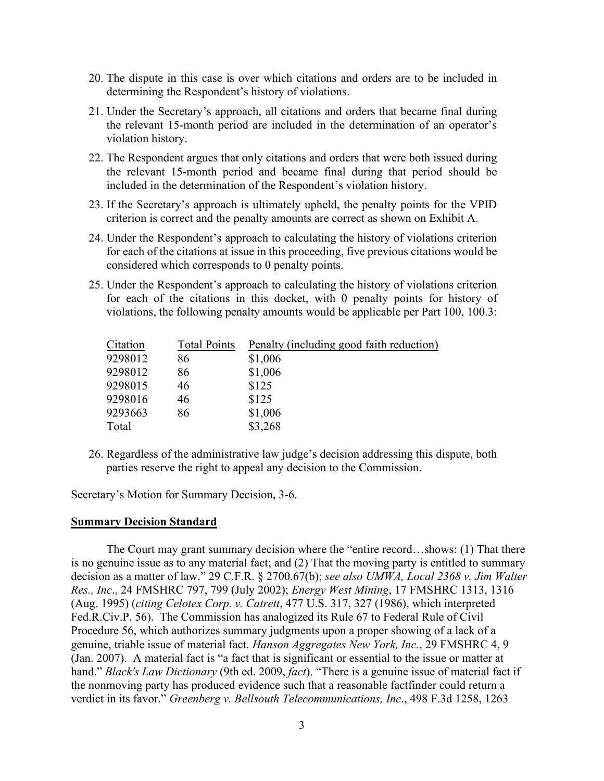- 20. The dispute in this case is over which citations and orders are to be included in determining the Respondent's history of violations.
- 21. Under the Secretary's approach, all citations and orders that became final during the relevant 15-month period are included in the determination of an operator's violation history.
- 22. The Respondent argues that only citations and orders that were both issued during the relevant 15-month period and became final during that period should be included in the determination of the Respondent's violation history.
- 23. If the Secretary's approach is ultimately upheld, the penalty points for the VPID criterion is correct and the penalty amounts are correct as shown on Exhibit A.
- 24. Under the Respondent's approach to calculating the history of violations criterion for each of the citations at issue in this proceeding, five previous citations would be considered which corresponds to 0 penalty points.
- 25. Under the Respondent's approach to calculating the history of violations criterion for each of the citations in this docket, with 0 penalty points for history of violations, the following penalty amounts would be applicable per Part 100, 100.3:

| Citation | <b>Total Points</b> | Penalty (including good faith reduction) |
|----------|---------------------|------------------------------------------|
| 9298012  | 86                  | \$1,006                                  |
| 9298012  | 86                  | \$1,006                                  |
| 9298015  | 46                  | \$125                                    |
| 9298016  | 46                  | \$125                                    |
| 9293663  | 86                  | \$1,006                                  |
| Total    |                     | \$3,268                                  |

26. Regardless of the administrative law judge's decision addressing this dispute, both parties reserve the right to appeal any decision to the Commission.

Secretary's Motion for Summary Decision, 3-6.

#### **Summary Decision Standard**

The Court may grant summary decision where the "entire record…shows: (1) That there is no genuine issue as to any material fact; and (2) That the moving party is entitled to summary decision as a matter of law." 29 C.F.R. § 2700.67(b); *see also UMWA, Local 2368 v. Jim Walter Res., Inc*., 24 FMSHRC 797, 799 (July 2002); *Energy West Mining*, 17 FMSHRC 1313, 1316 (Aug. 1995) (*citing Celotex Corp. v. Catrett*, 477 U.S. 317, 327 (1986), which interpreted Fed.R.Civ.P. 56). The Commission has analogized its Rule 67 to Federal Rule of Civil Procedure 56, which authorizes summary judgments upon a proper showing of a lack of a genuine, triable issue of material fact. *Hanson Aggregates New York, Inc.*, 29 FMSHRC 4, 9 (Jan. 2007). A material fact is "a fact that is significant or essential to the issue or matter at hand." *Black's Law Dictionary* (9th ed. 2009, *fact*). "There is a genuine issue of material fact if the nonmoving party has produced evidence such that a reasonable factfinder could return a verdict in its favor." *Greenberg v. Bellsouth Telecommunications, Inc*., 498 F.3d 1258, 1263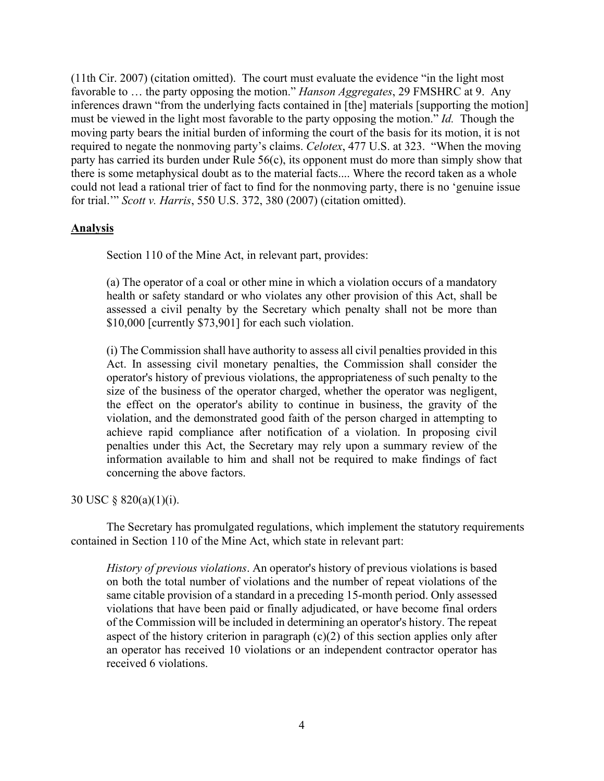(11th Cir. 2007) (citation omitted). The court must evaluate the evidence "in the light most favorable to … the party opposing the motion." *Hanson Aggregates*, 29 FMSHRC at 9. Any inferences drawn "from the underlying facts contained in [the] materials [supporting the motion] must be viewed in the light most favorable to the party opposing the motion." *Id.* Though the moving party bears the initial burden of informing the court of the basis for its motion, it is not required to negate the nonmoving party's claims. *Celotex*, 477 U.S. at 323. "When the moving party has carried its burden under Rule 56(c), its opponent must do more than simply show that there is some metaphysical doubt as to the material facts.... Where the record taken as a whole could not lead a rational trier of fact to find for the nonmoving party, there is no 'genuine issue for trial.'" *Scott v. Harris*, 550 U.S. 372, 380 (2007) (citation omitted).

## **Analysis**

Section 110 of the Mine Act, in relevant part, provides:

(a) The operator of a coal or other mine in which a violation occurs of a mandatory health or safety standard or who violates any other provision of this Act, shall be assessed a civil penalty by the Secretary which penalty shall not be more than \$10,000 [currently \$73,901] for each such violation.

(i) The Commission shall have authority to assess all civil penalties provided in this Act. In assessing civil monetary penalties, the Commission shall consider the operator's history of previous violations, the appropriateness of such penalty to the size of the business of the operator charged, whether the operator was negligent, the effect on the operator's ability to continue in business, the gravity of the violation, and the demonstrated good faith of the person charged in attempting to achieve rapid compliance after notification of a violation. In proposing civil penalties under this Act, the Secretary may rely upon a summary review of the information available to him and shall not be required to make findings of fact concerning the above factors.

### 30 USC § 820(a)(1)(i).

 The Secretary has promulgated regulations, which implement the statutory requirements contained in Section 110 of the Mine Act, which state in relevant part:

*History of previous violations*. An operator's history of previous violations is based on both the total number of violations and the number of repeat violations of the same citable provision of a standard in a preceding 15-month period. Only assessed violations that have been paid or finally adjudicated, or have become final orders of the Commission will be included in determining an operator's history. The repeat aspect of the history criterion in paragraph  $(c)(2)$  of this section applies only after an operator has received 10 violations or an independent contractor operator has received 6 violations.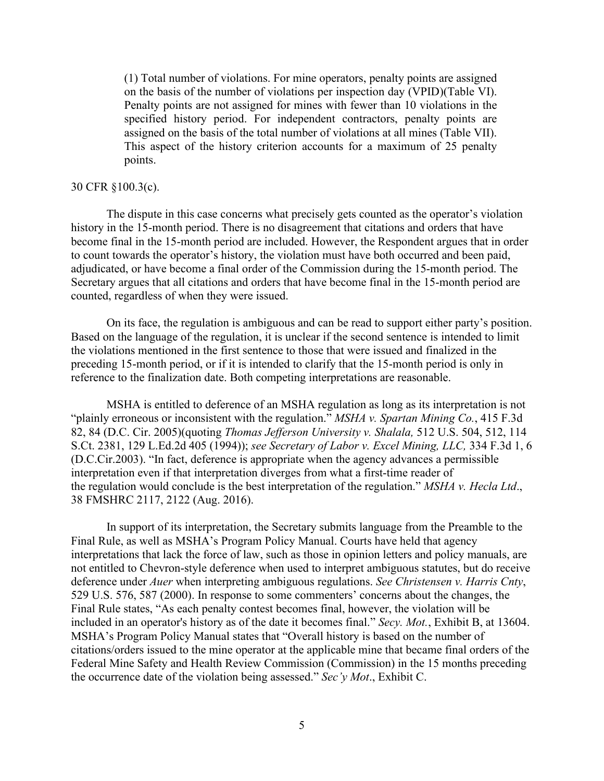(1) Total number of violations. For mine operators, penalty points are assigned on the basis of the number of violations per inspection day (VPID)(Table VI). Penalty points are not assigned for mines with fewer than 10 violations in the specified history period. For independent contractors, penalty points are assigned on the basis of the total number of violations at all mines (Table VII). This aspect of the history criterion accounts for a maximum of 25 penalty points.

#### 30 CFR §100.3(c).

The dispute in this case concerns what precisely gets counted as the operator's violation history in the 15-month period. There is no disagreement that citations and orders that have become final in the 15-month period are included. However, the Respondent argues that in order to count towards the operator's history, the violation must have both occurred and been paid, adjudicated, or have become a final order of the Commission during the 15-month period. The Secretary argues that all citations and orders that have become final in the 15-month period are counted, regardless of when they were issued.

On its face, the regulation is ambiguous and can be read to support either party's position. Based on the language of the regulation, it is unclear if the second sentence is intended to limit the violations mentioned in the first sentence to those that were issued and finalized in the preceding 15-month period, or if it is intended to clarify that the 15-month period is only in reference to the finalization date. Both competing interpretations are reasonable.

MSHA is entitled to deference of an MSHA regulation as long as its interpretation is not "plainly erroneous or inconsistent with the regulation." *MSHA v. Spartan Mining Co.*, 415 F.3d 82, 84 (D.C. Cir. 2005)(quoting *Thomas Jefferson University v. Shalala,* 512 U.S. 504, 512, 114 S.Ct. 2381, 129 L.Ed.2d 405 (1994)); *see Secretary of Labor v. Excel Mining, LLC,* 334 F.3d 1, 6 (D.C.Cir.2003). "In fact, deference is appropriate when the agency advances a permissible interpretation even if that interpretation diverges from what a first-time reader of the regulation would conclude is the best interpretation of the regulation." *MSHA v. Hecla Ltd*., 38 FMSHRC 2117, 2122 (Aug. 2016).

In support of its interpretation, the Secretary submits language from the Preamble to the Final Rule, as well as MSHA's Program Policy Manual. Courts have held that agency interpretations that lack the force of law, such as those in opinion letters and policy manuals, are not entitled to Chevron-style deference when used to interpret ambiguous statutes, but do receive deference under *Auer* when interpreting ambiguous regulations. *See Christensen v. Harris Cnty*, 529 U.S. 576, 587 (2000). In response to some commenters' concerns about the changes, the Final Rule states, "As each penalty contest becomes final, however, the violation will be included in an operator's history as of the date it becomes final." *Secy. Mot.*, Exhibit B, at 13604. MSHA's Program Policy Manual states that "Overall history is based on the number of citations/orders issued to the mine operator at the applicable mine that became final orders of the Federal Mine Safety and Health Review Commission (Commission) in the 15 months preceding the occurrence date of the violation being assessed." *Sec'y Mot*., Exhibit C.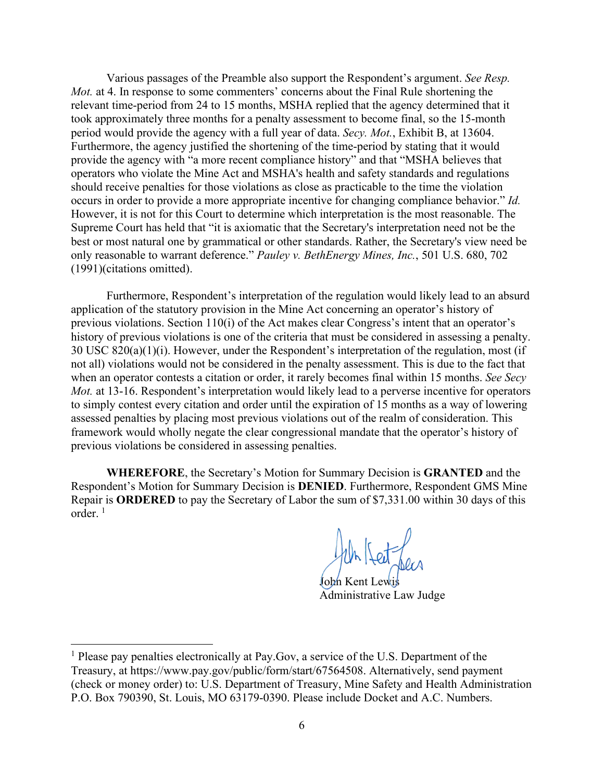Various passages of the Preamble also support the Respondent's argument. *See Resp. Mot.* at 4. In response to some commenters' concerns about the Final Rule shortening the relevant time-period from 24 to 15 months, MSHA replied that the agency determined that it took approximately three months for a penalty assessment to become final, so the 15-month period would provide the agency with a full year of data. *Secy. Mot.*, Exhibit B, at 13604. Furthermore, the agency justified the shortening of the time-period by stating that it would provide the agency with "a more recent compliance history" and that "MSHA believes that operators who violate the Mine Act and MSHA's health and safety standards and regulations should receive penalties for those violations as close as practicable to the time the violation occurs in order to provide a more appropriate incentive for changing compliance behavior." *Id.* However, it is not for this Court to determine which interpretation is the most reasonable. The Supreme Court has held that "it is axiomatic that the Secretary's interpretation need not be the best or most natural one by grammatical or other standards. Rather, the Secretary's view need be only reasonable to warrant deference." *Pauley v. BethEnergy Mines, Inc.*, 501 U.S. 680, 702 (1991)(citations omitted).

 Furthermore, Respondent's interpretation of the regulation would likely lead to an absurd application of the statutory provision in the Mine Act concerning an operator's history of previous violations. Section 110(i) of the Act makes clear Congress's intent that an operator's history of previous violations is one of the criteria that must be considered in assessing a penalty. 30 USC 820(a)(1)(i). However, under the Respondent's interpretation of the regulation, most (if not all) violations would not be considered in the penalty assessment. This is due to the fact that when an operator contests a citation or order, it rarely becomes final within 15 months. *See Secy Mot.* at 13-16. Respondent's interpretation would likely lead to a perverse incentive for operators to simply contest every citation and order until the expiration of 15 months as a way of lowering assessed penalties by placing most previous violations out of the realm of consideration. This framework would wholly negate the clear congressional mandate that the operator's history of previous violations be considered in assessing penalties.

**WHEREFORE**, the Secretary's Motion for Summary Decision is **GRANTED** and the Respondent's Motion for Summary Decision is **DENIED**. Furthermore, Respondent GMS Mine Repair is **ORDERED** to pay the Secretary of Labor the sum of \$7,331.00 within 30 days of this order. $1$ 

John Kert Je

Administrative Law Judge

<span id="page-5-0"></span> $<sup>1</sup>$  Please pay penalties electronically at Pay. Gov, a service of the U.S. Department of the</sup> Treasury, at https://www.pay.gov/public/form/start/67564508. Alternatively, send payment (check or money order) to: U.S. Department of Treasury, Mine Safety and Health Administration P.O. Box 790390, St. Louis, MO 63179-0390. Please include Docket and A.C. Numbers.